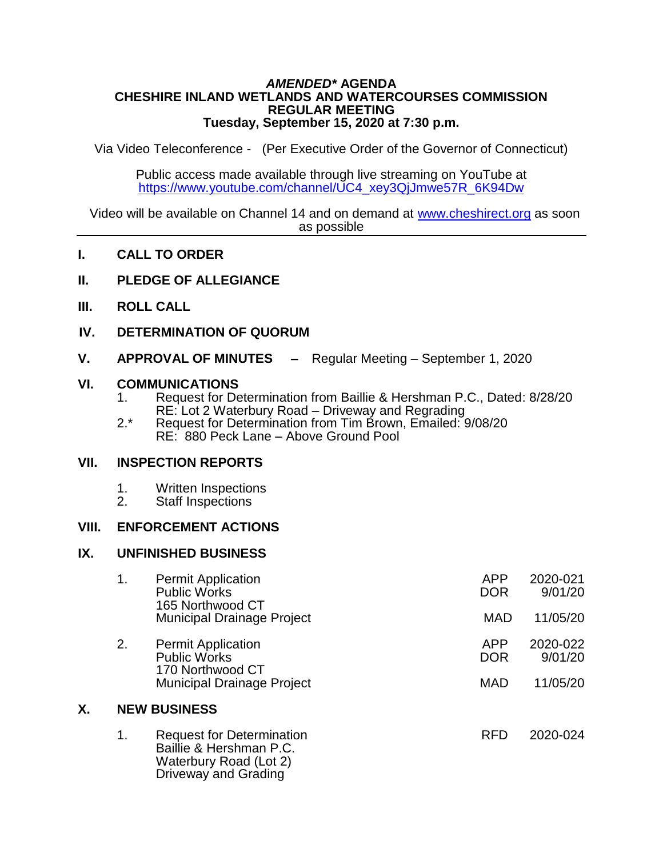#### *AMENDED\** **AGENDA CHESHIRE INLAND WETLANDS AND WATERCOURSES COMMISSION REGULAR MEETING Tuesday, September 15, 2020 at 7:30 p.m.**

Via Video Teleconference - (Per Executive Order of the Governor of Connecticut)

Public access made available through live streaming on YouTube at [https://www.youtube.com/channel/UC4\\_xey3QjJmwe57R\\_6K94Dw](https://www.youtube.com/channel/UC4_xey3QjJmwe57R_6K94Dw)

Video will be available on Channel 14 and on demand at [www.cheshirect.org](http://www.cheshirect.org/) as soon as possible

- **I. CALL TO ORDER**
- **II. PLEDGE OF ALLEGIANCE**
- **III. ROLL CALL**
- **IV. DETERMINATION OF QUORUM**
- **V. APPROVAL OF MINUTES –** Regular Meeting September 1, 2020

## **VI. COMMUNICATIONS**

- 1. Request for Determination from Baillie & Hershman P.C., Dated: 8/28/20 RE: Lot 2 Waterbury Road – Driveway and Regrading
- 2.\* Request for Determination from Tim Brown, Emailed: 9/08/20 RE: 880 Peck Lane – Above Ground Pool

## **VII. INSPECTION REPORTS**

- 1. Written Inspections<br>2. Staff Inspections
- Staff Inspections

## **VIII. ENFORCEMENT ACTIONS**

#### **IX. UNFINISHED BUSINESS**

|    | 1.                  | <b>Permit Application</b><br><b>Public Works</b><br>165 Northwood CT                                          | <b>APP</b><br><b>DOR</b> | 2020-021<br>9/01/20 |  |
|----|---------------------|---------------------------------------------------------------------------------------------------------------|--------------------------|---------------------|--|
|    |                     | <b>Municipal Drainage Project</b>                                                                             | <b>MAD</b>               | 11/05/20            |  |
|    | 2.                  | <b>Permit Application</b><br><b>Public Works</b><br>170 Northwood CT                                          | <b>APP</b><br><b>DOR</b> | 2020-022<br>9/01/20 |  |
|    |                     | <b>Municipal Drainage Project</b>                                                                             | <b>MAD</b>               | 11/05/20            |  |
| Χ. | <b>NEW BUSINESS</b> |                                                                                                               |                          |                     |  |
|    | 1.                  | <b>Request for Determination</b><br>Baillie & Hershman P.C.<br>Waterbury Road (Lot 2)<br>Driveway and Grading | <b>RFD</b>               | 2020-024            |  |